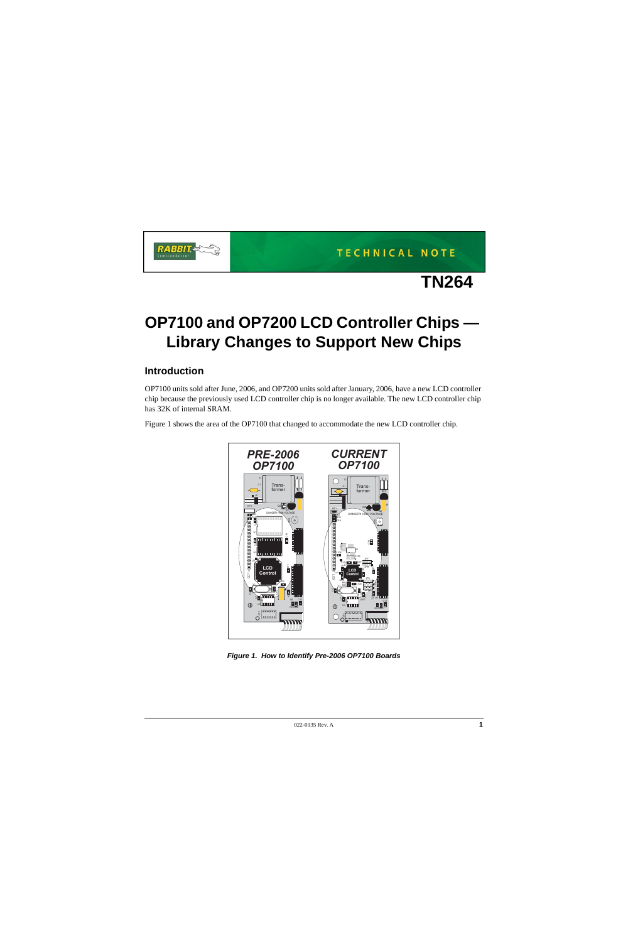

**TECHNICAL NOTE** 

# **TN264**

## **OP7100 and OP7200 LCD Controller Chips — Library Changes to Support New Chips**

### **Introduction**

OP7100 units sold after June, 2006, and OP7200 units sold after January, 2006, have a new LCD controller chip because the previously used LCD controller chip is no longer available. The new LCD controller chip has 32K of internal SRAM.

[Figure 1](#page-0-0) shows the area of the OP7100 that changed to accommodate the new LCD controller chip.

<span id="page-0-0"></span>

*Figure 1. How to Identify Pre-2006 OP7100 Boards*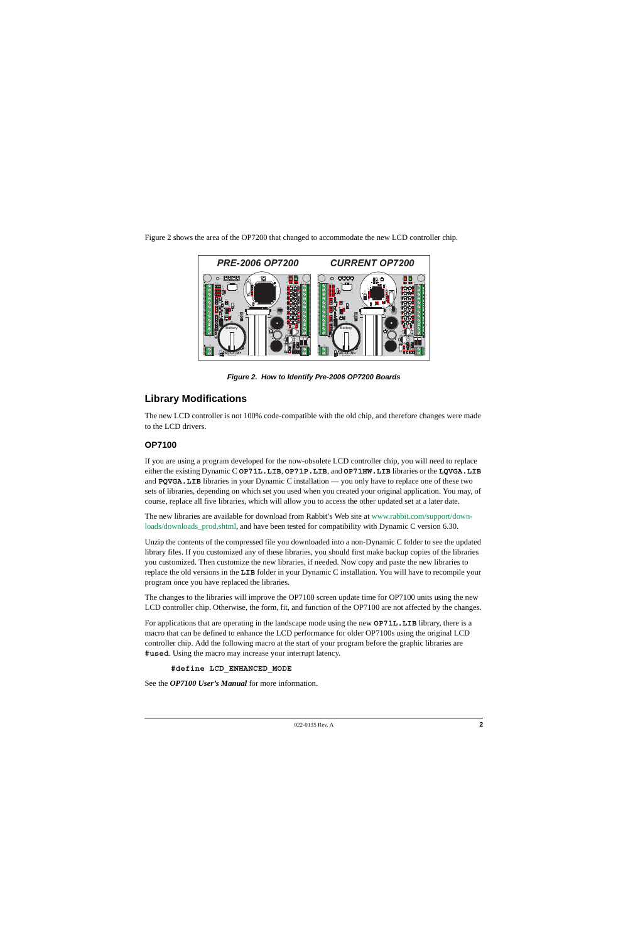[Figure 2](#page-1-0) shows the area of the OP7200 that changed to accommodate the new LCD controller chip.



*Figure 2. How to Identify Pre-2006 OP7200 Boards*

## <span id="page-1-0"></span>**Library Modifications**

The new LCD controller is not 100% code-compatible with the old chip, and therefore changes were made to the LCD drivers.

### **OP7100**

If you are using a program developed for the now-obsolete LCD controller chip, you will need to replace either the existing Dynamic C **OP71L.LIB**, **OP71P.LIB**, and **OP71HW.LIB** libraries or the **LQVGA.LIB** and **PQVGA.LIB** libraries in your Dynamic C installation — you only have to replace one of these two sets of libraries, depending on which set you used when you created your original application. You may, of course, replace all five libraries, which will allow you to access the other updated set at a later date.

The new libraries are available for download from Rabbit's Web site at [www.rabbit.com/support/down](http://www.rabbit.com/support/downloads/downloads_prod.shtml)[loads/downloads\\_prod.shtml,](http://www.rabbit.com/support/downloads/downloads_prod.shtml) and have been tested for compatibility with Dynamic C version 6.30.

Unzip the contents of the compressed file you downloaded into a non-Dynamic C folder to see the updated library files. If you customized any of these libraries, you should first make backup copies of the libraries you customized. Then customize the new libraries, if needed. Now copy and paste the new libraries to replace the old versions in the **LIB** folder in your Dynamic C installation. You will have to recompile your program once you have replaced the libraries.

The changes to the libraries will improve the OP7100 screen update time for OP7100 units using the new LCD controller chip. Otherwise, the form, fit, and function of the OP7100 are not affected by the changes.

For applications that are operating in the landscape mode using the new **OP71L.LIB** library, there is a macro that can be defined to enhance the LCD performance for older OP7100s using the original LCD controller chip. Add the following macro at the start of your program before the graphic libraries are **#used**. Using the macro may increase your interrupt latency.

#### **#define LCD\_ENHANCED\_MODE**

See the *OP7100 User's Manual* for more information.